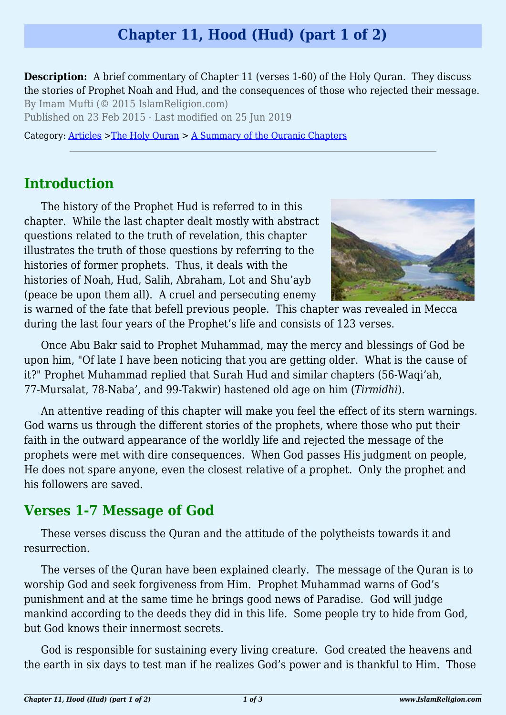# **Chapter 11, Hood (Hud) (part 1 of 2)**

**Description:** A brief commentary of Chapter 11 (verses 1-60) of the Holy Quran. They discuss the stories of Prophet Noah and Hud, and the consequences of those who rejected their message. By Imam Mufti (© 2015 IslamReligion.com)

Published on 23 Feb 2015 - Last modified on 25 Jun 2019

Category: [Articles](http://www.islamreligion.com/articles/) >[The Holy Quran](http://www.islamreligion.com/category/75/) > [A Summary of the Quranic Chapters](http://www.islamreligion.com/category/77/)

## **Introduction**

The history of the Prophet Hud is referred to in this chapter. While the last chapter dealt mostly with abstract questions related to the truth of revelation, this chapter illustrates the truth of those questions by referring to the histories of former prophets. Thus, it deals with the histories of Noah, Hud, Salih, Abraham, Lot and Shu'ayb (peace be upon them all). A cruel and persecuting enemy



is warned of the fate that befell previous people. This chapter was revealed in Mecca during the last four years of the Prophet's life and consists of 123 verses.

Once Abu Bakr said to Prophet Muhammad, may the mercy and blessings of God be upon him, "Of late I have been noticing that you are getting older. What is the cause of it?" Prophet Muhammad replied that Surah Hud and similar chapters (56-Waqi'ah, 77-Mursalat, 78-Naba', and 99-Takwir) hastened old age on him (*Tirmidhi*).

An attentive reading of this chapter will make you feel the effect of its stern warnings. God warns us through the different stories of the prophets, where those who put their faith in the outward appearance of the worldly life and rejected the message of the prophets were met with dire consequences. When God passes His judgment on people, He does not spare anyone, even the closest relative of a prophet. Only the prophet and his followers are saved.

## **Verses 1-7 Message of God**

These verses discuss the Quran and the attitude of the polytheists towards it and resurrection.

The verses of the Quran have been explained clearly. The message of the Quran is to worship God and seek forgiveness from Him. Prophet Muhammad warns of God's punishment and at the same time he brings good news of Paradise. God will judge mankind according to the deeds they did in this life. Some people try to hide from God, but God knows their innermost secrets.

God is responsible for sustaining every living creature. God created the heavens and the earth in six days to test man if he realizes God's power and is thankful to Him. Those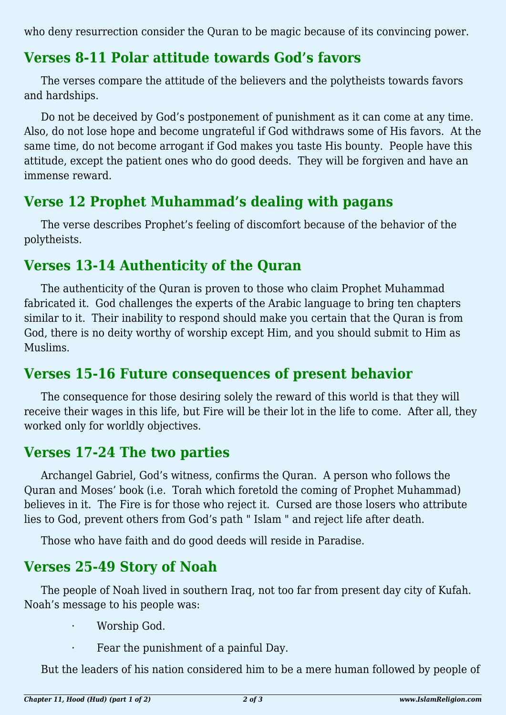who deny resurrection consider the Quran to be magic because of its convincing power.

## **Verses 8-11 Polar attitude towards God's favors**

The verses compare the attitude of the believers and the polytheists towards favors and hardships.

Do not be deceived by God's postponement of punishment as it can come at any time. Also, do not lose hope and become ungrateful if God withdraws some of His favors. At the same time, do not become arrogant if God makes you taste His bounty. People have this attitude, except the patient ones who do good deeds. They will be forgiven and have an immense reward.

## **Verse 12 Prophet Muhammad's dealing with pagans**

The verse describes Prophet's feeling of discomfort because of the behavior of the polytheists.

## **Verses 13-14 Authenticity of the Quran**

The authenticity of the Quran is proven to those who claim Prophet Muhammad fabricated it. God challenges the experts of the Arabic language to bring ten chapters similar to it. Their inability to respond should make you certain that the Quran is from God, there is no deity worthy of worship except Him, and you should submit to Him as Muslims.

## **Verses 15-16 Future consequences of present behavior**

The consequence for those desiring solely the reward of this world is that they will receive their wages in this life, but Fire will be their lot in the life to come. After all, they worked only for worldly objectives.

## **Verses 17-24 The two parties**

Archangel Gabriel, God's witness, confirms the Quran. A person who follows the Quran and Moses' book (i.e. Torah which foretold the coming of Prophet Muhammad) believes in it. The Fire is for those who reject it. Cursed are those losers who attribute lies to God, prevent others from God's path " Islam " and reject life after death.

Those who have faith and do good deeds will reside in Paradise.

## **Verses 25-49 Story of Noah**

The people of Noah lived in southern Iraq, not too far from present day city of Kufah. Noah's message to his people was:

- · Worship God.
- Fear the punishment of a painful Day.

But the leaders of his nation considered him to be a mere human followed by people of